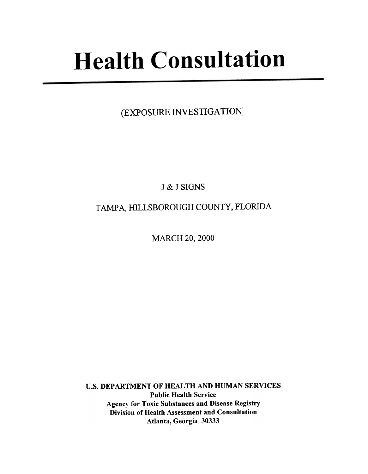# **Health Consultation**

(EXPOSURE INVESTIGATION:

J & J SIGNS

TAMPA, HILLSBOROUGH COUNTY, FLORIDA

MARCH 20, 2000

u.s. DEPARTMENT OF HEALTH AND HUMAN SERVICES Public Health Service Agency for Toxic Substances and Disease Registry Division of Health Assessment and Consultation Atlanta, Georgia 30333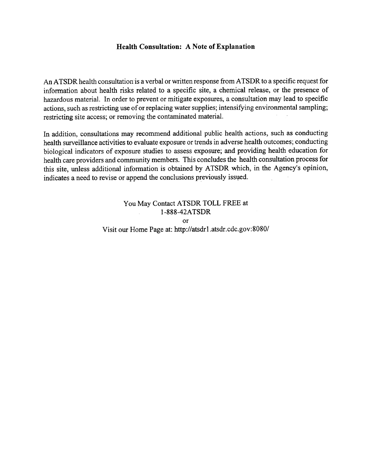#### Health Consultation: A Note of Explanation

An ATSDR health consultation is a verbal or written response from ATSDR to a specific request for information about health risks related to a specific site, a chemical release, or the presence of hazardous material. In order to prevent or mitigate exposures, a consultation may lead to specific actions, such as restricting use of or replacing water supplies; intensifying environmental sampling; restricting site access; or removing the contaminated material.

In addition, consultations may recommend additional public health actions, such as conducting health surveillance activities to evaluate exposure or trends in adverse health outcomes; conducting biological indicators of exposure studies to assess exposure; and providing health education for health care providers and community members. This concludes the health consultation process for this site, unless additional information is obtained by ATSDR which, in the Agency's opinion, indicates a need to revise or append the conclusions previously issved.

> You May Contact ATSDR TOLL FREE at 1-888-42ATSDR or Visit our Home Page at: http://atsdrl.atsdr.cdc.gov:8080/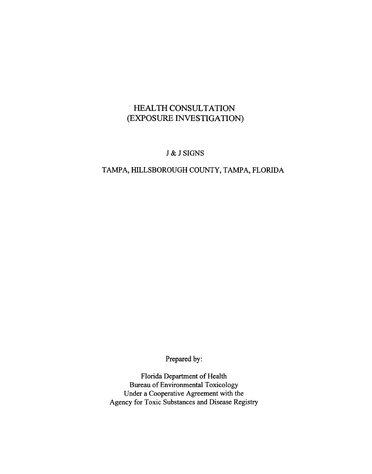# .HEALTH CONSULTATION (EXPOSURE INVESTIGATION)

#### J & J SIGNS

## TAMPA, HILLSBOROUGH COUNTY, TAMPA, FLORJDA

Prepared by:

Florida Department of Health Bureau of Environmental Toxicology Under a Cooperative Agreement with the Agency for Toxic Substances and Disease Registry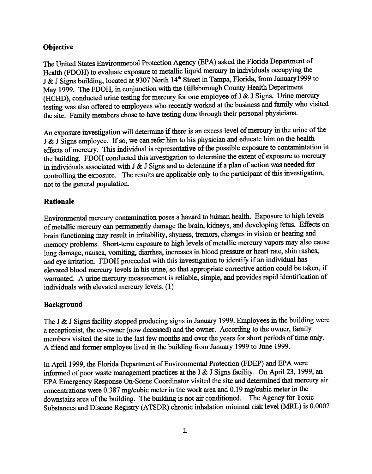#### **Objective**

The United States Environmental Protection Agency (EP A) asked the Florida Department of Health (FDOH) to evaluate exposure to metallic liquid mercury in individuals occupying the J & J Signs building, located at 9307 North 14<sup>th</sup> Street in Tampa, Florida, from January1999 to May 1999. The FDOH, in conjunction with the Hillsborough County Health Department (HCHD), conducted urine testing for mercury for one employee of J & J Signs. Urine mercury testing was also offered to employees who recently worked at the business and family who visited the site. Family members chose to have testing done through their personal physicians.

An exposure investigation will determine if there is an excess level of mercury in the urine of the J & J Signs employee. If so, we can refer him to his physician and educate him on the health effects of mercury. This individual is representative of the possible exposure to contamintation in the building. FDOH conducted this investigation to determine the extent of exposure to mercury in individuals associated with J & J Signs and to determine if a plan of action was needed for controlling the exposure. The results are applicable only to the participant of this investigation, not to the general population.

#### Rationale

Environmental mercury contamination poses a hazard to human health. Exposure to high levels of metallic mercury can permanently damage the brain, kidneys, and developing fetus. Effects on brain functioning may result in irritability, shyness, tremors, changes in vision or hearing and memory problems. Short-term exposure to high levels of metallic mercury vapors may also cause lung damage, nausea, vomiting, diarrhea, increases in blood pressure or heart rate, shin rashes, and eye irritation. FDOH proceeded with this investigation to identify if an individual has elevated blood mercury levels in his urine, so that appropriate corrective action could be taken, if warranted. A urine mercury measurement is reliable, simple, and provides rapid identification of individuals with elevated mercury levels. (1)

#### Background

The J & J Signs facility stopped producing signs in January 1999. Employees in the building were a receptionist, the co-owner (now deceased) and the owner. According to the owner, family members visited the site in the last few months and over the years for short periods of time only. A friend and former employee lived in the building from January 1999 to June 1999.

In April 1999, the Florida Department of Environmental Protection (FDEP) and EPA were informed of poor waste management practices at the J  $&$  J Signs facility. On April 23, 1999, an EPA Emergency Response On-Scene Coordinator visited the site and determined that mercury air concentrations were  $0.387$  mg/cubic meter in the work area and  $0.19$  mg/cubic meter in the downstairs area of the building. The building is not air conditioned. The Agency for Toxic Substances and Disease Registry (ATSDR) chronic inhalation minimal risk level (MRL) is 0.0002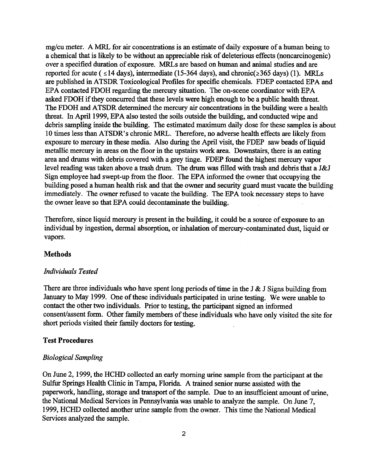mg/cu meter. A MRL for air concentrations is an estimate of daily exposure of a human being to a chemical that is likely to be without an appreciable risk of deleterious effects (noncarcinogenic) over a specified duration of exposure. MRLs are based on human and animal studies and are reported for acute (  $\leq$  14 days), intermediate (15-364 days), and chronic( $\geq$ 365 days) (1). MRLs are published in ATSDR Toxicological Profiles for specific chemicals. FDEP contacted EPA and EPA contacted FDOH regarding the mercury situation. The on-scene coordinator with EPA asked FDOH if they concurred that these levels were high enough to be a public health threat. The FDOH and ATSDR determined the mercury air concentrations in the building were a health threat. In April 1999, EP A also tested the soils outside the building, and conducted wipe and debris sampling inside the building. The estimated maximum daily dose for these samples is about 10 times less than ATSDR's chronic MRL. Therefore, no adverse health effects are likely from exposure to mercury in these media. Also during the April visit, the FDEP saw beads of liquid metallic mercury in areas on the floor in the upstairs work area. DoWnstairs, there is an eating area and drums with debris covered with a grey tinge. FDEP found the highest mercury vapor level reading was taken above a trash drum. The drum was filled with trash and debris that a J&J Sign employee had swept-up from the floor. The EPA informed the owner that occupying the building posed a human health risk and that the owner and security guard must vacate the building immediately. The owner refused to vacate the building. The EPA took necessary steps to have the owner leave so that EPA could decontaminate the building.

Therefore, since liquid mercury is present in the building, it could be a source of exposure to an individual by ingestion, dermal absorption, or inhalation of mercury-contaminated dust, liquid or vapors.

#### **Methods**

#### Individuals Tested

There are three individuals who have spent long periods of time in the J  $\&$  J Signs building from January to May 1999. One of these individuals participated in urine testing. We were unable to contact the other two individuals. Prior to testing, the participant signed an informed consent/assent form. Other family members of these individuals who have only visited the site for short periods visited their family doctors for testing.

#### Test Procedures

#### Biological Sampling

On June 2, 1999, the HCHD collected an early morning urine sample from the participant at the Sulfur Springs Health Clinic in Tampa, Florida. A trained senior nurse assisted with the paperwork, handling, storage and transport of the sample. Due to an insufficient amount of urine, the National Medical Services in Pennsylvania was unable to analyze the sample. On June 7, 1999, HCHD collected another urine sample from the owner. This time the National Medical Services analyzed the sample.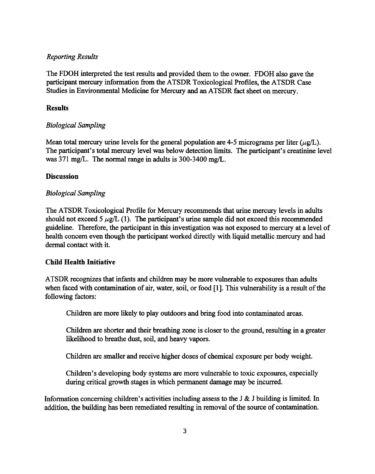#### Reporting Results

The FDOH interpreted the test results and provided them to the owner. FDOH also gave the participant mercury information from the ATSDR Toxicological Profiles, the ATSDR Case Studies in Environmental Medicine for Mercury and an A TSDR fact sheet on mercury.

#### Results

#### Biological Sampling

Mean total mercury urine levels for the general population are 4-5 micrograms per liter ( $\mu$ g/L). The participant's total mercury level was below detection limits. The participant's creatinine level was 371 mg/L. The normal range in adults is 300-3400 mg/L.

#### **Discussion**

#### Biological Sampling

The ATSbR Toxicological Profile for Mercury recommends that urine mercury levels in adults should not exceed 5  $\mu$ g/L (1). The participant's urine sample did not exceed this recommended guideline. Therefore, the participant in this investigation was not exposed to mercury at a level of health concern even though the participant worked directly with liquid metallic mercury and had dermal contact with it.

#### Child Health Initiative

ATSDR recognizes that infants and children may be more vulnerable to exposures than adults when faced with contamination of air, water, soil, or food [1]. This vulnerability is a result of the following factors:

Children are more likely to play outdoors and bring food into contaminated areas.

Children are shorter and their breathing zone is closer to the ground, resulting in a greater likelihood to breathe dust, soil, and heavy vapors.

Children are smaller and receive higher doses of chemical exposure per body weight.

Children's developing body systems are more vulnerable to toxic exposures, especially during critical growth stages in which permanent damage may be incurred.

Information concerning children's activities including assess to the J  $\&$  J building is limited. In addition, the building has been remediated resulting in removal of the source of contamination.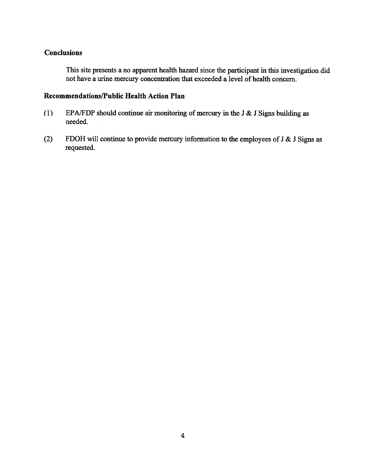#### **Conclusions**

This site presents a no apparent health hazard since the participant in this investigation did not have a urine mercury concentration that exceeded a level of health concern.

### Recommendations/Public Health Action Plan

- (1) EPA/FDP should continue air monitoring of mercury in the J & J Signs building as needed.
- (2) FDOH will continue to provide mercury information to the employees of J & J Signs as requested.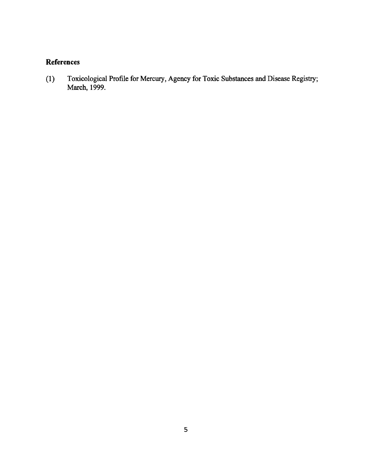## References

(1) Toxicological Profile for Mercury, Agency for Toxic Substances and Disease Registry; March, 1999.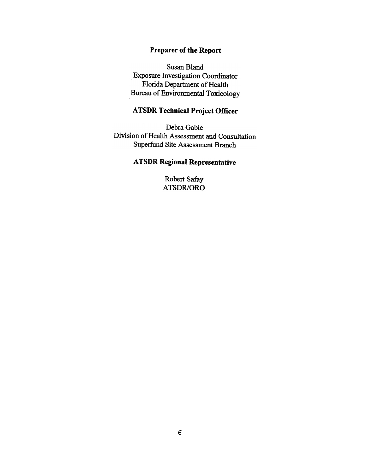#### Preparer of the Report

Susan Bland Exposure Investigation Coordinator Florida Department of Health Bureau of Environmental Toxicology

## ATSDR Technical Project Officer

Debra Gable Division of Health Assessment and Consultation Superfund Site Assessment Branch

# ATSDR Regional Representative

Robert Safar ATSDR/ORO